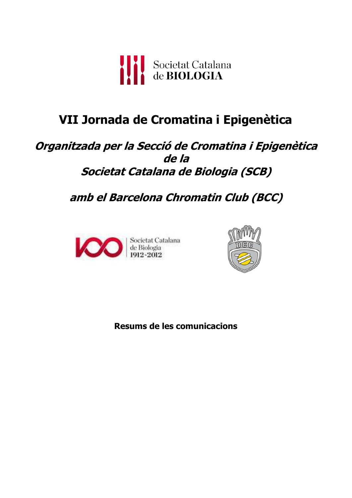

# **VII Jornada de Cromatina i Epigenètica**

# **Organitzada per la Secció de Cromatina i Epigenètica de la Societat Catalana de Biologia (SCB)**

**amb el Barcelona Chromatin Club (BCC)** 





**Resums de les comunicacions**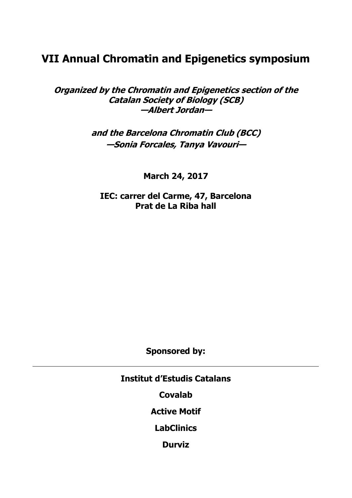# **VII Annual Chromatin and Epigenetics symposium**

**Organized by the Chromatin and Epigenetics section of the Catalan Society of Biology (SCB) —Albert Jordan—** 

> **and the Barcelona Chromatin Club (BCC) —Sonia Forcales, Tanya Vavouri—**

> > **March 24, 2017**

**IEC: carrer del Carme, 47, Barcelona Prat de La Riba hall** 

**Sponsored by:** 

**Institut d'Estudis Catalans** 

**Covalab** 

**Active Motif** 

**LabClinics** 

**Durviz**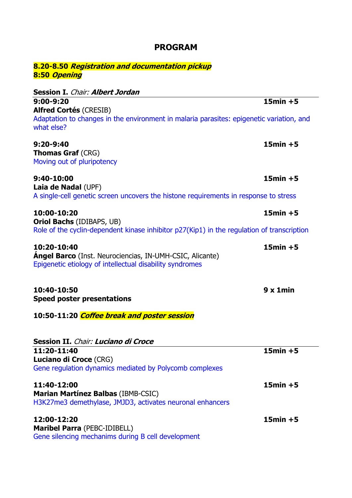| 8.20-8.50 <i>Registration and documentation pickup</i><br>8:50 Opening                                                                     |             |
|--------------------------------------------------------------------------------------------------------------------------------------------|-------------|
| Session I. Chair: Albert Jordan                                                                                                            |             |
| 9:00-9:20                                                                                                                                  | $15min + 5$ |
| <b>Alfred Cortés (CRESIB)</b><br>Adaptation to changes in the environment in malaria parasites: epigenetic variation, and<br>what else?    |             |
| 9:20-9:40<br><b>Thomas Graf (CRG)</b><br>Moving out of pluripotency                                                                        | $15min + 5$ |
| 9:40-10:00<br>Laia de Nadal (UPF)                                                                                                          | $15min + 5$ |
| A single-cell genetic screen uncovers the histone requirements in response to stress                                                       |             |
| 10:00-10:20<br><b>Oriol Bachs (IDIBAPS, UB)</b>                                                                                            | $15min + 5$ |
| Role of the cyclin-dependent kinase inhibitor p27(Kip1) in the regulation of transcription                                                 |             |
| 10:20-10:40<br><b>Ángel Barco</b> (Inst. Neurociencias, IN-UMH-CSIC, Alicante)<br>Epigenetic etiology of intellectual disability syndromes | $15min + 5$ |
| 10:40-10:50<br><b>Speed poster presentations</b>                                                                                           | 9x1min      |
| 10:50-11:20 <i>Coffee break and poster session</i>                                                                                         |             |
| Session II. Chair: Luciano di Croce                                                                                                        |             |
| 11:20-11:40<br>Luciano di Croce (CRG)<br>Gene regulation dynamics mediated by Polycomb complexes                                           | $15min + 5$ |
| 11:40-12:00<br><b>Marian Martínez Balbas (IBMB-CSIC)</b>                                                                                   | $15min + 5$ |
| H3K27me3 demethylase, JMJD3, activates neuronal enhancers                                                                                  |             |
| 12:00-12:20<br>Maribel Parra (PEBC-IDIBELL)<br>Gene silencing mechanims during B cell development                                          | $15min + 5$ |

# **PROGRAM**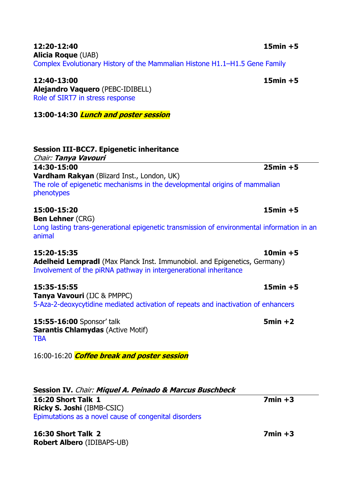| 12:20-12:40                                                                 | $15min + 5$ |
|-----------------------------------------------------------------------------|-------------|
| <b>Alicia Roque (UAB)</b>                                                   |             |
| Complex Evolutionary History of the Mammalian Histone H1.1–H1.5 Gene Family |             |

**12:40-13:00 15min +5 Alejandro Vaquero** (PEBC-IDIBELL) Role of SIRT7 in stress response

**13:00-14:30 Lunch and poster session**

| <b>Session III-BCC7. Epigenetic inheritance</b><br>Chair: Tanya Vavouri                   |             |
|-------------------------------------------------------------------------------------------|-------------|
| 14:30-15:00                                                                               | $25min + 5$ |
| Vardham Rakyan (Blizard Inst., London, UK)                                                |             |
| The role of epigenetic mechanisms in the developmental origins of mammalian<br>phenotypes |             |

**15:00-15:20 15min +5 Ben Lehner (CRG)** Long lasting trans-generational epigenetic transmission of environmental information in an animal

**15:20-15:35 10min +5 Adelheid Lempradl** (Max Planck Inst. Immunobiol. and Epigenetics, Germany) Involvement of the piRNA pathway in intergenerational inheritance

**15:35-15:55 15min +5 Tanya Vavouri (IJC & PMPPC)** 5-Aza-2-deoxycytidine mediated activation of repeats and inactivation of enhancers

**15:55-16:00** Sponsor' talk **5min +2 5min +2 Sarantis Chlamydas** (Active Motif) **TBA** 

16:00-16:20 **Coffee break and poster session** 

| Session IV. Chair: Miquel A. Peinado & Marcus Buschbeck |           |
|---------------------------------------------------------|-----------|
| <b>16:20 Short Talk 1</b>                               | $7min +3$ |
| <b>Ricky S. Joshi</b> (IBMB-CSIC)                       |           |
| Epimutations as a novel cause of congenital disorders   |           |

**16:30 Short Talk 2 7min +3 Robert Albero** (IDIBAPS-UB)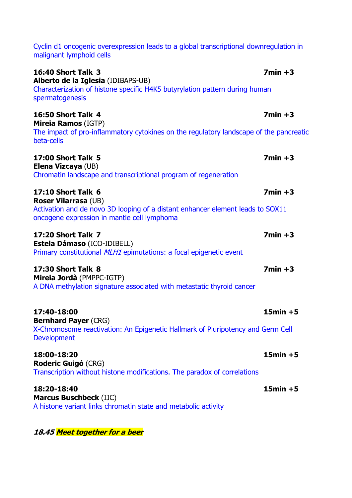| malignant lymphoid cells                                                                                                                                                                  |             |
|-------------------------------------------------------------------------------------------------------------------------------------------------------------------------------------------|-------------|
| <b>16:40 Short Talk 3</b><br>Alberto de la Iglesia (IDIBAPS-UB)<br>Characterization of histone specific H4K5 butyrylation pattern during human<br>spermatogenesis                         | $7min +3$   |
| <b>16:50 Short Talk 4</b><br><b>Mireia Ramos (IGTP)</b><br>The impact of pro-inflammatory cytokines on the regulatory landscape of the pancreatic<br>beta-cells                           | $7min +3$   |
| <b>17:00 Short Talk 5</b><br>Elena Vizcaya (UB)<br>Chromatin landscape and transcriptional program of regeneration                                                                        | $7min +3$   |
| <b>17:10 Short Talk 6</b><br><b>Roser Vilarrasa (UB)</b><br>Activation and de novo 3D looping of a distant enhancer element leads to SOX11<br>oncogene expression in mantle cell lymphoma | $7min +3$   |
| <b>17:20 Short Talk 7</b><br>Estela Dámaso (ICO-IDIBELL)<br>Primary constitutional <i>MLH1</i> epimutations: a focal epigenetic event                                                     | $7min +3$   |
| <b>17:30 Short Talk 8</b><br>Mireia Jordà (PMPPC-IGTP)<br>A DNA methylation signature associated with metastatic thyroid cancer                                                           | $7min +3$   |
| 17:40-18:00<br><b>Bernhard Payer (CRG)</b><br>X-Chromosome reactivation: An Epigenetic Hallmark of Pluripotency and Germ Cell<br><b>Development</b>                                       | $15min + 5$ |
| 18:00-18:20<br><b>Roderic Guigó (CRG)</b><br>Transcription without histone modifications. The paradox of correlations                                                                     | $15min + 5$ |
| 18:20-18:40<br><b>Marcus Buschbeck (IJC)</b><br>A histone variant links chromatin state and metabolic activity                                                                            | $15min + 5$ |
|                                                                                                                                                                                           |             |

Cyclin d1 oncogenic overexpression leads to a global transcriptional downregulation in

**18.45 Meet together for a beer**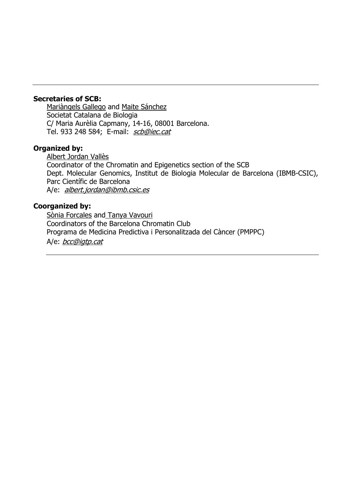#### **Secretaries of SCB:**

Mariàngels Gallego and Maite Sánchez Societat Catalana de Biologia C/ Maria Aurèlia Capmany, 14-16, 08001 Barcelona. Tel. 933 248 584; E-mail: scb@iec.cat

#### **Organized by:**

Albert Jordan Vallès Coordinator of the Chromatin and Epigenetics section of the SCB Dept. Molecular Genomics, Institut de Biologia Molecular de Barcelona (IBMB-CSIC), Parc Científic de Barcelona A/e: albert.jordan@ibmb.csic.es

#### **Coorganized by:**

Sònia Forcales and Tanya Vavouri Coordinators of the Barcelona Chromatin Club Programa de Medicina Predictiva i Personalitzada del Càncer (PMPPC) A/e: bcc@igtp.cat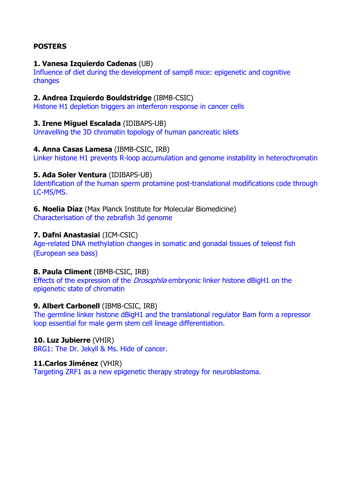# **POSTERS**

#### **1. Vanesa Izquierdo Cadenas** (UB)

Influence of diet during the development of samp8 mice: epigenetic and cognitive changes

#### **2. Andrea Izquierdo Bouldstridge** (IBMB-CSIC)

Histone H1 depletion triggers an interferon response in cancer cells

#### **3. Irene Miguel Escalada** (IDIBAPS-UB)

Unravelling the 3D chromatin topology of human pancreatic islets

#### **4. Anna Casas Lamesa** (IBMB-CSIC, IRB)

Linker histone H1 prevents R-loop accumulation and genome instability in heterochromatin

#### **5. Ada Soler Ventura** (IDIBAPS-UB)

Identification of the human sperm protamine post-translational modifications code through LC-MS/MS.

#### **6. Noelia Díaz** (Max Planck Institute for Molecular Biomedicine) Characterisation of the zebrafish 3d genome

#### **7. Dafni Anastasiai** (ICM-CSIC)

Age-related DNA methylation changes in somatic and gonadal tissues of teleost fish (European sea bass)

#### **8. Paula Climent** (IBMB-CSIC, IRB)

Effects of the expression of the *Drosophila* embryonic linker histone dBigH1 on the epigenetic state of chromatin

#### **9. Albert Carbonell** (IBMB-CSIC, IRB)

The germline linker histone dBigH1 and the translational regulator Bam form a repressor loop essential for male germ stem cell lineage differentiation.

#### **10. Luz Jubierre** (VHIR)

BRG1: The Dr. Jekyll & Ms. Hide of cancer.

#### **11.Carlos Jiménez** (VHIR)

Targeting ZRF1 as a new epigenetic therapy strategy for neuroblastoma.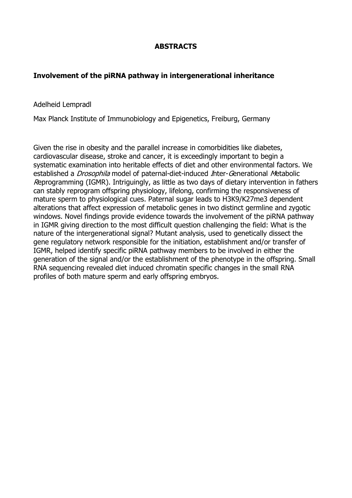# **ABSTRACTS**

## **Involvement of the piRNA pathway in intergenerational inheritance**

Adelheid Lempradl

Max Planck Institute of Immunobiology and Epigenetics, Freiburg, Germany

Given the rise in obesity and the parallel increase in comorbidities like diabetes, cardiovascular disease, stroke and cancer, it is exceedingly important to begin a systematic examination into heritable effects of diet and other environmental factors. We established a *Drosophila* model of paternal-diet-induced *I*nter-Generational Metabolic Reprogramming (IGMR). Intriguingly, as little as two days of dietary intervention in fathers can stably reprogram offspring physiology, lifelong, confirming the responsiveness of mature sperm to physiological cues. Paternal sugar leads to H3K9/K27me3 dependent alterations that affect expression of metabolic genes in two distinct germline and zygotic windows. Novel findings provide evidence towards the involvement of the piRNA pathway in IGMR giving direction to the most difficult question challenging the field: What is the nature of the intergenerational signal? Mutant analysis, used to genetically dissect the gene regulatory network responsible for the initiation, establishment and/or transfer of IGMR, helped identify specific piRNA pathway members to be involved in either the generation of the signal and/or the establishment of the phenotype in the offspring. Small RNA sequencing revealed diet induced chromatin specific changes in the small RNA profiles of both mature sperm and early offspring embryos.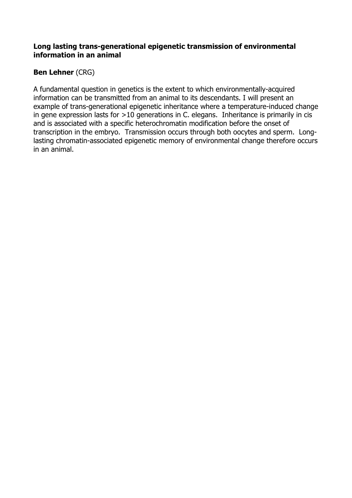#### **Long lasting trans-generational epigenetic transmission of environmental information in an animal**

# **Ben Lehner** (CRG)

A fundamental question in genetics is the extent to which environmentally-acquired information can be transmitted from an animal to its descendants. I will present an example of trans-generational epigenetic inheritance where a temperature-induced change in gene expression lasts for >10 generations in C. elegans. Inheritance is primarily in cis and is associated with a specific heterochromatin modification before the onset of transcription in the embryo. Transmission occurs through both oocytes and sperm. Longlasting chromatin-associated epigenetic memory of environmental change therefore occurs in an animal.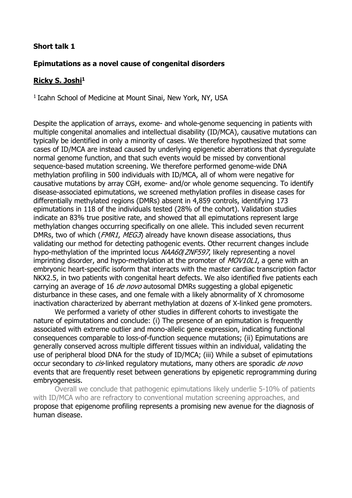#### **Epimutations as a novel cause of congenital disorders**

#### **Ricky S. Joshi<sup>1</sup>**

<sup>1</sup> Icahn School of Medicine at Mount Sinai, New York, NY, USA

Despite the application of arrays, exome- and whole-genome sequencing in patients with multiple congenital anomalies and intellectual disability (ID/MCA), causative mutations can typically be identified in only a minority of cases. We therefore hypothesized that some cases of ID/MCA are instead caused by underlying epigenetic aberrations that dysregulate normal genome function, and that such events would be missed by conventional sequence-based mutation screening. We therefore performed genome-wide DNA methylation profiling in 500 individuals with ID/MCA, all of whom were negative for causative mutations by array CGH, exome- and/or whole genome sequencing. To identify disease-associated epimutations, we screened methylation profiles in disease cases for differentially methylated regions (DMRs) absent in 4,859 controls, identifying 173 epimutations in 118 of the individuals tested (28% of the cohort). Validation studies indicate an 83% true positive rate, and showed that all epimutations represent large methylation changes occurring specifically on one allele. This included seven recurrent DMRs, two of which (*FMR1, MEG3*) already have known disease associations, thus validating our method for detecting pathogenic events. Other recurrent changes include hypo-methylation of the imprinted locus NAA60/ZNF597, likely representing a novel imprinting disorder, and hypo-methylation at the promoter of  $MOV1OL1$ , a gene with an embryonic heart-specific isoform that interacts with the master cardiac transcription factor NKX2.5, in two patients with congenital heart defects. We also identified five patients each carrying an average of 16 *de novo* autosomal DMRs suggesting a global epigenetic disturbance in these cases, and one female with a likely abnormality of X chromosome inactivation characterized by aberrant methylation at dozens of X-linked gene promoters.

We performed a variety of other studies in different cohorts to investigate the nature of epimutations and conclude: (i) The presence of an epimutation is frequently associated with extreme outlier and mono-allelic gene expression, indicating functional consequences comparable to loss-of-function sequence mutations; (ii) Epimutations are generally conserved across multiple different tissues within an individual, validating the use of peripheral blood DNA for the study of ID/MCA; (iii) While a subset of epimutations occur secondary to *cis*-linked regulatory mutations, many others are sporadic *de novo* events that are frequently reset between generations by epigenetic reprogramming during embryogenesis.

Overall we conclude that pathogenic epimutations likely underlie 5-10% of patients with ID/MCA who are refractory to conventional mutation screening approaches, and propose that epigenome profiling represents a promising new avenue for the diagnosis of human disease.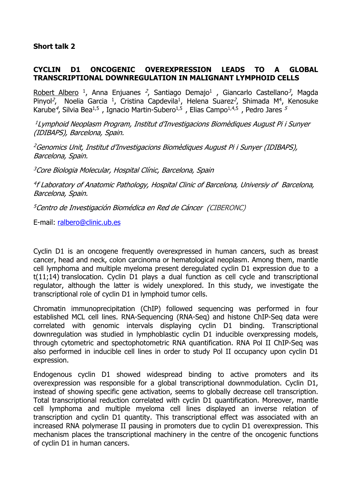# **CYCLIN D1 ONCOGENIC OVEREXPRESSION LEADS TO A GLOBAL TRANSCRIPTIONAL DOWNREGULATION IN MALIGNANT LYMPHOID CELLS**

Robert Albero<sup>1</sup>, Anna Enjuanes<sup>2</sup>, Santiago Demajo<sup>1</sup>, Giancarlo Castellano<sup>3</sup>, Magda Pinyol<sup>2</sup>, Noelia Garcia<sup>1</sup>, Cristina Capdevila<sup>1</sup>, Helena Suarez<sup>2</sup>, Shimada M<sup>4</sup>, Kenosuke Karube<sup>4</sup>, Silvia Bea<sup>1,5</sup>, Ignacio Martin-Subero<sup>1,5</sup>, Elias Campo<sup>1,4,5</sup>, Pedro Jares <sup>5</sup>

<sup>1</sup> Lymphoid Neoplasm Program, Institut d'Investigacions Biomèdiques August Pi i Sunyer (IDIBAPS), Barcelona, Spain.

<sup>2</sup>Genomics Unit, Institut d'Investigacions Biomèdiques August Pi i Sunyer (IDIBAPS), Barcelona, Spain.

<sup>3</sup>Core Biologia Molecular, Hospital Clínic, Barcelona, Spain

4 f Laboratory of Anatomic Pathology, Hospital Clinic of Barcelona, Universiy of Barcelona, Barcelona, Spain.

<sup>5</sup>Centro de Investigación Biomédica en Red de Cáncer (CIBERONC)

E-mail: ralbero@clinic.ub.es

Cyclin D1 is an oncogene frequently overexpressed in human cancers, such as breast cancer, head and neck, colon carcinoma or hematological neoplasm. Among them, mantle cell lymphoma and multiple myeloma present deregulated cyclin D1 expression due to a t(11;14) translocation. Cyclin D1 plays a dual function as cell cycle and transcriptional regulator, although the latter is widely unexplored. In this study, we investigate the transcriptional role of cyclin D1 in lymphoid tumor cells.

Chromatin immunoprecipitation (ChIP) followed sequencing was performed in four established MCL cell lines. RNA-Sequencing (RNA-Seq) and histone ChIP-Seq data were correlated with genomic intervals displaying cyclin D1 binding. Transcriptional downregulation was studied in lymphoblastic cyclin D1 inducible overxpressing models, through cytometric and spectophotometric RNA quantification. RNA Pol II ChIP-Seq was also performed in inducible cell lines in order to study Pol II occupancy upon cyclin D1 expression.

Endogenous cyclin D1 showed widespread binding to active promoters and its overexpression was responsible for a global transcriptional downmodulation. Cyclin D1, instead of showing specific gene activation, seems to globally decrease cell transcription. Total transcriptional reduction correlated with cyclin D1 quantification. Moreover, mantle cell lymphoma and multiple myeloma cell lines displayed an inverse relation of transcription and cyclin D1 quantity. This transcriptional effect was associated with an increased RNA polymerase II pausing in promoters due to cyclin D1 overexpression. This mechanism places the transcriptional machinery in the centre of the oncogenic functions of cyclin D1 in human cancers.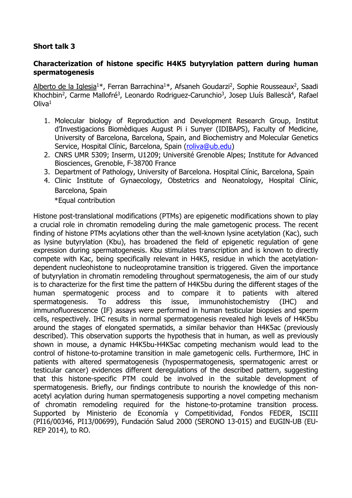#### **Characterization of histone specific H4K5 butyrylation pattern during human spermatogenesis**

Alberto de la Iglesia<sup>1\*</sup>, Ferran Barrachina<sup>1\*</sup>, Afsaneh Goudarzi<sup>2</sup>, Sophie Rousseaux<sup>2</sup>, Saadi Khochbin<sup>2</sup>, Carme Mallofré<sup>3</sup>, Leonardo Rodriguez-Carunchio<sup>3</sup>, Josep Lluís Ballescà<sup>4</sup>, Rafael  $O$ liva $<sup>1</sup>$ </sup>

- 1. Molecular biology of Reproduction and Development Research Group, Institut d'Investigacions Biomèdiques August Pi i Sunyer (IDIBAPS), Faculty of Medicine, University of Barcelona, Barcelona, Spain, and Biochemistry and Molecular Genetics Service, Hospital Clínic, Barcelona, Spain (roliva@ub.edu)
- 2. CNRS UMR 5309; Inserm, U1209; Université Grenoble Alpes; Institute for Advanced Biosciences, Grenoble, F-38700 France
- 3. Department of Pathology, University of Barcelona. Hospital Clínic, Barcelona, Spain
- 4. Clinic Institute of Gynaecology, Obstetrics and Neonatology, Hospital Clínic, Barcelona, Spain

\*Equal contribution

Histone post-translational modifications (PTMs) are epigenetic modifications shown to play a crucial role in chromatin remodeling during the male gametogenic process. The recent finding of histone PTMs acylations other than the well-known lysine acetylation (Kac), such as lysine butyrylation (Kbu), has broadened the field of epigenetic regulation of gene expression during spermatogenesis. Kbu stimulates transcription and is known to directly compete with Kac, being specifically relevant in H4K5, residue in which the acetylationdependent nucleohistone to nucleoprotamine transition is triggered. Given the importance of butyrylation in chromatin remodeling throughout spermatogenesis, the aim of our study is to characterize for the first time the pattern of H4K5bu during the different stages of the human spermatogenic process and to compare it to patients with altered spermatogenesis. To address this issue, immunohistochemistry (IHC) and immunofluorescence (IF) assays were performed in human testicular biopsies and sperm cells, respectively. IHC results in normal spermatogenesis revealed high levels of H4K5bu around the stages of elongated spermatids, a similar behavior than H4K5ac (previously described). This observation supports the hypothesis that in human, as well as previously shown in mouse, a dynamic H4K5bu-H4K5ac competing mechanism would lead to the control of histone-to-protamine transition in male gametogenic cells. Furthermore, IHC in patients with altered spermatogenesis (hypospermatogenesis, spermatogenic arrest or testicular cancer) evidences different deregulations of the described pattern, suggesting that this histone-specific PTM could be involved in the suitable development of spermatogenesis. Briefly, our findings contribute to nourish the knowledge of this nonacetyl acylation during human spermatogenesis supporting a novel competing mechanism of chromatin remodeling required for the histone-to-protamine transition process. Supported by Ministerio de Economía y Competitividad, Fondos FEDER, ISCIII (PI16/00346, PI13/00699), Fundación Salud 2000 (SERONO 13-015) and EUGIN-UB (EU-REP 2014), to RO.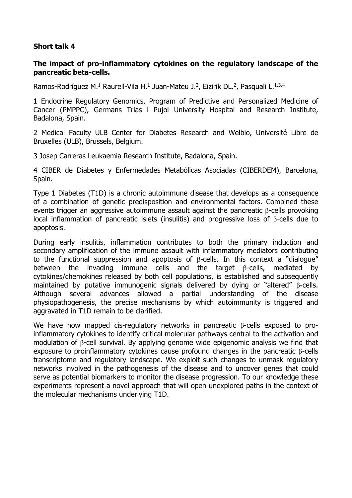#### **The impact of pro-inflammatory cytokines on the regulatory landscape of the pancreatic beta-cells.**

Ramos-Rodríguez M.<sup>1</sup> Raurell-Vila H.<sup>1</sup> Juan-Mateu J.<sup>2</sup>, Eizirik DL.<sup>2</sup>, Pasquali L.<sup>1,3,4</sup>

1 Endocrine Regulatory Genomics, Program of Predictive and Personalized Medicine of Cancer (PMPPC), Germans Trias i Pujol University Hospital and Research Institute, Badalona, Spain.

2 Medical Faculty ULB Center for Diabetes Research and Welbio, Université Libre de Bruxelles (ULB), Brussels, Belgium.

3 Josep Carreras Leukaemia Research Institute, Badalona, Spain.

4 CIBER de Diabetes y Enfermedades Metabólicas Asociadas (CIBERDEM), Barcelona, Spain.

Type 1 Diabetes (T1D) is a chronic autoimmune disease that develops as a consequence of a combination of genetic predisposition and environmental factors. Combined these events trigger an aggressive autoimmune assault against the pancreatic β-cells provoking local inflammation of pancreatic islets (insulitis) and progressive loss of β-cells due to apoptosis.

During early insulitis, inflammation contributes to both the primary induction and secondary amplification of the immune assault with inflammatory mediators contributing to the functional suppression and apoptosis of β-cells. In this context a "dialogue" between the invading immune cells and the target β-cells, mediated by cytokines/chemokines released by both cell populations, is established and subsequently maintained by putative immunogenic signals delivered by dying or "altered" β-cells. Although several advances allowed a partial understanding of the disease physiopathogenesis, the precise mechanisms by which autoimmunity is triggered and aggravated in T1D remain to be clarified.

We have now mapped cis-regulatory networks in pancreatic β-cells exposed to proinflammatory cytokines to identify critical molecular pathways central to the activation and modulation of β-cell survival. By applying genome wide epigenomic analysis we find that exposure to proinflammatory cytokines cause profound changes in the pancreatic β-cells transcriptome and regulatory landscape. We exploit such changes to unmask regulatory networks involved in the pathogenesis of the disease and to uncover genes that could serve as potential biomarkers to monitor the disease progression. To our knowledge these experiments represent a novel approach that will open unexplored paths in the context of the molecular mechanisms underlying T1D.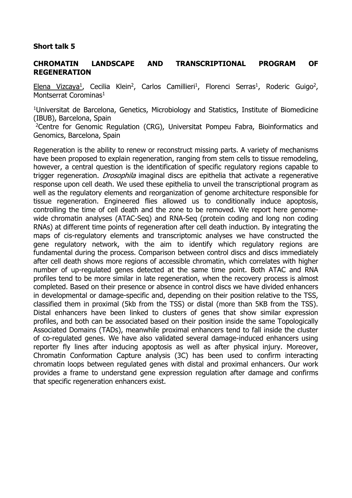#### **CHROMATIN LANDSCAPE AND TRANSCRIPTIONAL PROGRAM OF REGENERATION**

Elena Vizcaya<sup>1</sup>, Cecilia Klein<sup>2</sup>, Carlos Camillieri<sup>1</sup>, Florenci Serras<sup>1</sup>, Roderic Guigo<sup>2</sup>, Montserrat Corominas<sup>1</sup>

<sup>1</sup>Universitat de Barcelona, Genetics, Microbiology and Statistics, Institute of Biomedicine (IBUB), Barcelona, Spain

<sup>2</sup>Centre for Genomic Regulation (CRG), Universitat Pompeu Fabra, Bioinformatics and Genomics, Barcelona, Spain

Regeneration is the ability to renew or reconstruct missing parts. A variety of mechanisms have been proposed to explain regeneration, ranging from stem cells to tissue remodeling, however, a central question is the identification of specific regulatory regions capable to trigger regeneration. *Drosophila* imaginal discs are epithelia that activate a regenerative response upon cell death. We used these epithelia to unveil the transcriptional program as well as the regulatory elements and reorganization of genome architecture responsible for tissue regeneration. Engineered flies allowed us to conditionally induce apoptosis, controlling the time of cell death and the zone to be removed. We report here genomewide chromatin analyses (ATAC-Seq) and RNA-Seq (protein coding and long non coding RNAs) at different time points of regeneration after cell death induction. By integrating the maps of cis-regulatory elements and transcriptomic analyses we have constructed the gene regulatory network, with the aim to identify which regulatory regions are fundamental during the process. Comparison between control discs and discs immediately after cell death shows more regions of accessible chromatin, which correlates with higher number of up-regulated genes detected at the same time point. Both ATAC and RNA profiles tend to be more similar in late regeneration, when the recovery process is almost completed. Based on their presence or absence in control discs we have divided enhancers in developmental or damage-specific and, depending on their position relative to the TSS, classified them in proximal (5kb from the TSS) or distal (more than 5KB from the TSS). Distal enhancers have been linked to clusters of genes that show similar expression profiles, and both can be associated based on their position inside the same Topologically Associated Domains (TADs), meanwhile proximal enhancers tend to fall inside the cluster of co-regulated genes. We have also validated several damage-induced enhancers using reporter fly lines after inducing apoptosis as well as after physical injury. Moreover, Chromatin Conformation Capture analysis (3C) has been used to confirm interacting chromatin loops between regulated genes with distal and proximal enhancers. Our work provides a frame to understand gene expression regulation after damage and confirms that specific regeneration enhancers exist.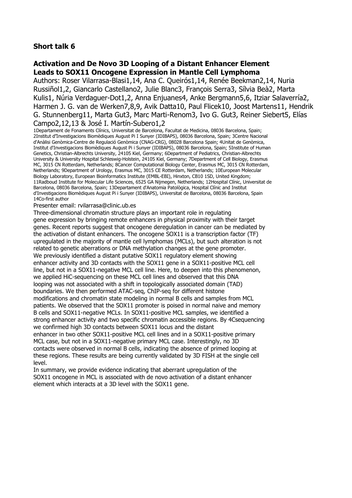#### **Activation and De Novo 3D Looping of a Distant Enhancer Element Leads to SOX11 Oncogene Expression in Mantle Cell Lymphoma**

Authors: Roser Vilarrasa-Blasi1,14, Ana C. Queirós1,14, Renée Beekman2,14, Nuria Russiñol1,2, Giancarlo Castellano2, Julie Blanc3, François Serra3, Sílvia Beà2, Marta Kulis1, Núria Verdaguer-Dot1,2, Anna Enjuanes4, Anke Bergmann5,6, Itziar Salaverría2, Harmen J. G. van de Werken7,8,9, Avik Datta10, Paul Flicek10, Joost Martens11, Hendrik G. Stunnenberg11, Marta Gut3, Marc Marti-Renom3, Ivo G. Gut3, Reiner Siebert5, Elías Campo2,12,13 & José I. Martín-Subero1,2

1Departament de Fonaments Clínics, Universitat de Barcelona, Facultat de Medicina, 08036 Barcelona, Spain; 2Institut d**'**Investigacions Biomèdiques August Pi I Sunyer (IDIBAPS), 08036 Barcelona, Spain; 3Centre Nacional d'Anàlisi Genòmica-Centre de Regulació Genòmica (CNAG-CRG), 08028 Barcelona Spain; 4Unitat de Genòmica, Institut d'Investigacions Biomèdiques August Pi i Sunyer (IDIBAPS), 08036 Barcelona, Spain; 5Institute of Human Genetics, Christian-Albrechts University, 24105 Kiel, Germany; 6Department of Pediatrics, Christian-Albrechts University & University Hospital Schleswig-Holstein, 24105 Kiel, Germany; 7Department of Cell Biology, Erasmus MC, 3015 CN Rotterdam, Netherlands; 8Cancer Computational Biology Center, Erasmus MC, 3015 CN Rotterdam, Netherlands; 9Department of Urology, Erasmus MC, 3015 CE Rotterdam, Netherlands; 10European Molecular Biology Laboratory, European Bioinformatics Institute (EMBL-EBI), Hinxton, CB10 1SD, United Kingdom; 11Radboud Institute for Molecular Life Sciences, 6525 GA Nijmegen, Netherlands; 12Hospital Clínic, Universitat de Barcelona, 08036 Barcelona, Spain; 13Departament d'Anatomia Patològica, Hospital Clínic and Institut d'Investigacions Biomèdiques August Pi i Sunyer (IDIBAPS), Universitat de Barcelona, 08036 Barcelona, Spain 14Co-first author

#### Presenter email: rvilarrasa@clinic.ub.es

Three-dimensional chromatin structure plays an important role in regulating gene expression by bringing remote enhancers in physical proximity with their target genes. Recent reports suggest that oncogene deregulation in cancer can be mediated by the activation of distant enhancers. The oncogene SOX11 is a transcription factor (TF) upregulated in the majority of mantle cell lymphomas (MCLs), but such alteration is not related to genetic aberrations or DNA methylation changes at the gene promoter. We previously identified a distant putative SOX11 regulatory element showing enhancer activity and 3D contacts with the SOX11 gene in a SOX11-positive MCL cell line, but not in a SOX11-negative MCL cell line. Here, to deepen into this phenomenon, we applied HiC-sequencing on these MCL cell lines and observed that this DNA looping was not associated with a shift in topologically associated domain (TAD) boundaries. We then performed ATAC-seq, ChIP-seq for different histone modifications and chromatin state modeling in normal B cells and samples from MCL patients. We observed that the SOX11 promoter is poised in normal naive and memory B cells and SOX11-negative MCLs. In SOX11-positive MCL samples, we identified a strong enhancer activity and two specific chromatin accessible regions. By 4Csequencing we confirmed high 3D contacts between SOX11 locus and the distant enhancer in two other SOX11-positive MCL cell lines and in a SOX11-positive primary MCL case, but not in a SOX11-negative primary MCL case. Interestingly, no 3D contacts were observed in normal B cells, indicating the absence of primed looping at these regions. These results are being currently validated by 3D FISH at the single cell level.

In summary, we provide evidence indicating that aberrant upregulation of the SOX11 oncogene in MCL is associated with de novo activation of a distant enhancer element which interacts at a 3D level with the SOX11 gene.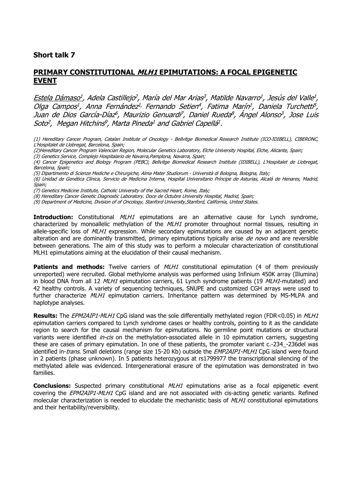#### **PRIMARY CONSTITUTIONAL MLH1 EPIMUTATIONS: A FOCAL EPIGENETIC EVENT**

<u>Estela Dámaso<sup>1</sup></u>, Adela Castillejo<sup>2</sup>, María del Mar Arias<sup>3</sup>, Matilde Navarro<sup>1</sup>, Jesús del Valle<sup>1</sup>, Olga Campos<sup>1</sup>, Anna Fernández<sup>1,</sup> Fernando Setien<sup>4</sup>, Fatima Marín<sup>1</sup>, Daniela Turchetti<sup>5</sup>, Juan de Dios García-Díaz<sup>6</sup>, Maurizio Genuardi<sup>7</sup>, Daniel Rueda<sup>8</sup>, Ángel Alonso<sup>3</sup>, Jose Luis Soto<sup>2</sup>, Megan Hitchins<sup>9</sup>, Marta Pineda<sup>1</sup> and Gabriel Capellá<sup>1</sup>.

- (1) Hereditary Cancer Program, Catalan Institute of Oncology Bellvitge Biomedical Research Institute (ICO-IDIBELL), CIBERONC, L'Hospitalet de Llobregat, Barcelona, Spain;
- (2)Hereditary Cancer Program Valencian Region, Molecular Genetics Laboratory, Elche University Hospital, Elche, Alicante, Spain;
- (3) Genetics Service, Complejo Hospitalario de Navarra,Pamplona, Navarra, Spain;
- (4) Cancer Epigenetics and Biology Program (PEBC), Bellvitge Biomedical Research Institute (IDIBELL), L'Hospitalet de Llobregat, Barcelona, Spain;
- (5) Dipartimento di Scienze Mediche e Chirurgiche, Alma Mater Studiorum Università di Bologna, Bologna, Italy;

(6) Unidad de Genética Clínica, Servicio de Medicina Interna, Hospital Universitario Príncipe de Asturias, Alcalá de Henares, Madrid, Spain;

(7) Genetics Medicine Institute, Catholic University of the Sacred Heart, Rome, Italy;

(8) Hereditary Cancer Genetic Diagnostic Laboratory. Doce de Octubre University Hospital, Madrid, Spain;

(9) Department of Medicine, Division of of Oncology, Stanford University,Stanford, California, United States.

**Introduction:** Constitutional *MLH1* epimutations are an alternative cause for Lynch syndrome, characterized by monoallelic methylation of the  $MLL$  promoter throughout normal tissues, resulting in allele-specific loss of MLH1 expression. While secondary epimutations are caused by an adjacent genetic alteration and are dominantly transmitted, primary epimutations typically arise  $de novo$  and are reversible between generations. The aim of this study was to perform a molecular characterization of constitutional MLH1 epimutations aiming at the elucidation of their causal mechanism.

**Patients and methods:** Twelve carriers of *MLH1* constitutional epimutation (4 of them previously unreported) were recruited. Global methylome analysis was performed using Infinium 450K array (Illumina) in blood DNA from all 12 MLH1 epimutation carriers, 61 Lynch syndrome patients (19 MLH1-mutated) and 42 healthy controls. A variety of sequencing techniques, SNUPE and customized CGH arrays were used to further characterize MLH1 epimutation carriers. Inheritance pattern was determined by MS-MLPA and haplotype analyses.

**Results:** The EPM2AIP1-MLH1 CpG island was the sole differentially methylated region (FDR<0.05) in MLH1 epimutation carriers compared to Lynch syndrome cases or healthy controls, pointing to it as the candidate region to search for the causal mechanism for epimutations. No germline point mutations or structural variants were identified *in-cis* on the methylation-associated allele in 10 epimutation carriers, suggesting these are cases of primary epimutation. In one of these patients, the promoter variant c.-234 -236del was identified in-trans. Small deletions (range size 15-20 Kb) outside the EMP2AIP1-MLH1 CpG island were found in 2 patients (phase unknown). In 5 patients heterozygous at rs1799977 the transcriptional silencing of the methylated allele was evidenced. Intergenerational erasure of the epimutation was demonstrated in two families.

**Conclusions:** Suspected primary constitutional MLH1 epimutations arise as a focal epigenetic event covering the *EPM2AIP1-MLH1* CpG island and are not associated with cis-acting genetic variants. Refined molecular characterization is needed to elucidate the mechanistic basis of  $M L H1$  constitutional epimutations and their heritability/reversibility.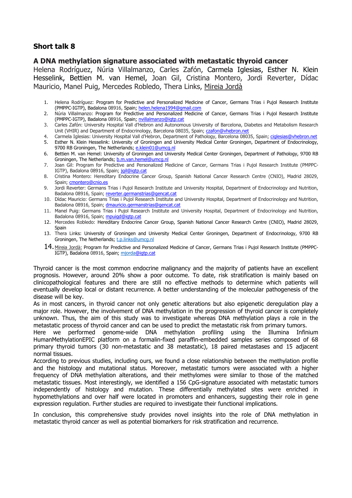#### **A DNA methylation signature associated with metastatic thyroid cancer**

Helena Rodríguez, Núria Villalmanzo, Carles Zafón, Carmela Iglesias, Esther N. Klein Hesselink, Bettien M. van Hemel, Joan Gil, Cristina Montero, Jordi Reverter, Dídac Mauricio, Manel Puig, Mercedes Robledo, Thera Links, Mireia Jordà

- 1. Helena Rodríguez: Program for Predictive and Personalized Medicine of Cancer, Germans Trias i Pujol Research Institute (PMPPC-IGTP), Badalona 08916, Spain; helen.helena1994@gmail.com
- 2. Núria Villalmanzo: Program for Predictive and Personalized Medicine of Cancer, Germans Trias i Pujol Research Institute (PMPPC-IGTP), Badalona 08916, Spain; nvillalmanzo@igtp.cat
- 3. Carles Zafón: University Hospital Vall d'Hebron and Autonomous University of Barcelona, Diabetes and Metabolism Research Unit (VHIR) and Department of Endocrinology, Barcelona 08035, Spain; czafon@vhebron.net
- 4. Carmela Iglesias: University Hospital Vall d'Hebron, Department of Pathology, Barcelona 08035, Spain; ciglesias@vhebron.net
- 5. Esther N. Klein Hesselink: University of Groningen and University Medical Center Groningen, Department of Endocrinology, 9700 RB Groningen, The Netherlands; e.klein01@umcg.nl
- 6. Bettien M. van Hemel: University of Groningen and University Medical Center Groningen, Department of Pathology, 9700 RB Groningen, The Netherlands; b.m.van.hemel@umcg.nl
- 7. Joan Gil: Program for Predictive and Personalized Medicine of Cancer, Germans Trias i Pujol Research Institute (PMPPC-IGTP), Badalona 08916, Spain; jgil@igtp.cat
- 8. Cristina Montero: Hereditary Endocrine Cancer Group, Spanish National Cancer Research Centre (CNIO), Madrid 28029, Spain; cmontero@cnio.es
- 9. Jordi Reverter: Germans Trias i Pujol Research Institute and University Hospital, Department of Endocrinology and Nutrition, Badalona 08916, Spain; reverter.germanstrias@gencat.cat
- 10. Dídac Mauricio: Germans Trias i Pujol Research Institute and University Hospital, Department of Endocrinology and Nutrition, Badalona 08916, Spain; dmauricio.germanstrias@gencat.c
- 11. Manel Puig: Germans Trias i Pujol Research Institute and University Hospital, Department of Endocrinology and Nutrition, Badalona 08916, Spain; mpuigd@igtp.cat
- 12. Mercedes Robledo: Hereditary Endocrine Cancer Group, Spanish National Cancer Research Centre (CNIO), Madrid 28029, Spain
- 13. Thera Links: University of Groningen and University Medical Center Groningen, Department of Endocrinology, 9700 RB Groningen, The Netherlands; t.p.links@umcg.nl
- 14.Mireia Jordà: Program for Predictive and Personalized Medicine of Cancer, Germans Trias i Pujol Research Institute (PMPPC-IGTP), Badalona 08916, Spain; mjorda@igtp.cat

Thyroid cancer is the most common endocrine malignancy and the majority of patients have an excellent prognosis. However, around 20% show a poor outcome. To date, risk stratification is mainly based on clinicopathological features and there are still no effective methods to determine which patients will eventually develop local or distant recurrence. A better understanding of the molecular pathogenesis of the disease will be key.

As in most cancers, in thyroid cancer not only genetic alterations but also epigenetic deregulation play a major role. However, the involvement of DNA methylation in the progression of thyroid cancer is completely unknown. Thus, the aim of this study was to investigate whereas DNA methylation plays a role in the metastatic process of thyroid cancer and can be used to predict the metastatic risk from primary tumors.

Here we performed genome-wide DNA methylation profiling using the Illumina Infinium HumanMethylationEPIC platform on a formalin-fixed paraffin-embedded samples series composed of 68 primary thyroid tumors (30 non-metastatic and 38 metastatic), 18 paired metastases and 15 adjacent normal tissues.

According to previous studies, including ours, we found a close relationship between the methylation profile and the histology and mutational status. Moreover, metastatic tumors were associated with a higher frequency of DNA methylation alterations, and their methylomes were similar to those of the matched metastatic tissues. Most interestingly, we identified a 156 CpG-signature associated with metastatic tumors independently of histology and mutation. These differentially methylated sites were enriched in hypomethylations and over half were located in promoters and enhancers, suggesting their role in gene expression regulation. Further studies are required to investigate their functional implications.

In conclusion, this comprehensive study provides novel insights into the role of DNA methylation in metastatic thyroid cancer as well as potential biomarkers for risk stratification and recurrence.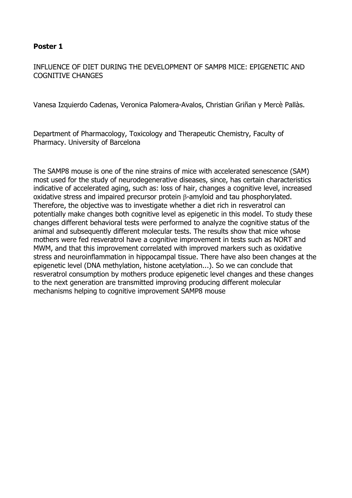## INFLUENCE OF DIET DURING THE DEVELOPMENT OF SAMP8 MICE: EPIGENETIC AND COGNITIVE CHANGES

Vanesa Izquierdo Cadenas, Veronica Palomera-Avalos, Christian Griñan y Mercè Pallàs.

Department of Pharmacology, Toxicology and Therapeutic Chemistry, Faculty of Pharmacy. University of Barcelona

The SAMP8 mouse is one of the nine strains of mice with accelerated senescence (SAM) most used for the study of neurodegenerative diseases, since, has certain characteristics indicative of accelerated aging, such as: loss of hair, changes a cognitive level, increased oxidative stress and impaired precursor protein β-amyloid and tau phosphorylated. Therefore, the objective was to investigate whether a diet rich in resveratrol can potentially make changes both cognitive level as epigenetic in this model. To study these changes different behavioral tests were performed to analyze the cognitive status of the animal and subsequently different molecular tests. The results show that mice whose mothers were fed resveratrol have a cognitive improvement in tests such as NORT and MWM, and that this improvement correlated with improved markers such as oxidative stress and neuroinflammation in hippocampal tissue. There have also been changes at the epigenetic level (DNA methylation, histone acetylation...). So we can conclude that resveratrol consumption by mothers produce epigenetic level changes and these changes to the next generation are transmitted improving producing different molecular mechanisms helping to cognitive improvement SAMP8 mouse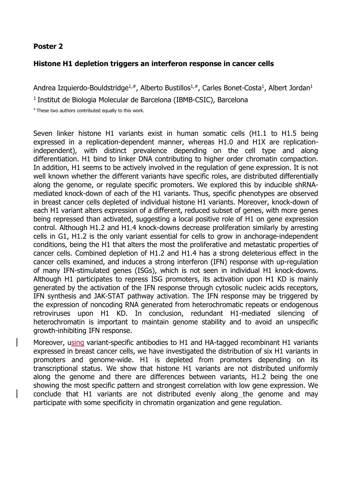#### **Histone H1 depletion triggers an interferon response in cancer cells**

Andrea Izquierdo-Bouldstridge<sup>1,#</sup>, Alberto Bustillos<sup>1,#</sup>, Carles Bonet-Costa<sup>1</sup>, Albert Jordan<sup>1</sup>

<sup>1</sup> Institut de Biologia Molecular de Barcelona (IBMB-CSIC), Barcelona

# These two authors contributed equally to this work.

Seven linker histone H1 variants exist in human somatic cells (H1.1 to H1.5 being expressed in a replication-dependent manner, whereas H1.0 and H1X are replicationindependent), with distinct prevalence depending on the cell type and along differentiation. H1 bind to linker DNA contributing to higher order chromatin compaction. In addition, H1 seems to be actively involved in the regulation of gene expression. It is not well known whether the different variants have specific roles, are distributed differentially along the genome, or regulate specific promoters. We explored this by inducible shRNAmediated knock-down of each of the H1 variants. Thus, specific phenotypes are observed in breast cancer cells depleted of individual histone H1 variants. Moreover, knock-down of each H1 variant alters expression of a different, reduced subset of genes, with more genes being repressed than activated, suggesting a local positive role of H1 on gene expression control. Although H1.2 and H1.4 knock-downs decrease proliferation similarly by arresting cells in G1, H1.2 is the only variant essential for cells to grow in anchorage-independent conditions, being the H1 that alters the most the proliferative and metastatic properties of cancer cells. Combined depletion of H1.2 and H1.4 has a strong deleterious effect in the cancer cells examined, and induces a strong interferon (IFN) response with up-regulation of many IFN-stimulated genes (ISGs), which is not seen in individual H1 knock-downs. Although H1 participates to repress ISG promoters, its activation upon H1 KD is mainly generated by the activation of the IFN response through cytosolic nucleic acids receptors, IFN synthesis and JAK-STAT pathway activation. The IFN response may be triggered by the expression of noncoding RNA generated from heterochromatic repeats or endogenous retroviruses upon H1 KD. In conclusion, redundant H1-mediated silencing of heterochromatin is important to maintain genome stability and to avoid an unspecific growth-inhibiting IFN response.

Moreover, using variant-specific antibodies to H1 and HA-tagged recombinant H1 variants expressed in breast cancer cells, we have investigated the distribution of six H1 variants in promoters and genome-wide. H1 is depleted from promoters depending on its transcriptional status. We show that histone H1 variants are not distributed uniformly along the genome and there are differences between variants, H1.2 being the one showing the most specific pattern and strongest correlation with low gene expression. We conclude that H1 variants are not distributed evenly along the genome and may participate with some specificity in chromatin organization and gene regulation.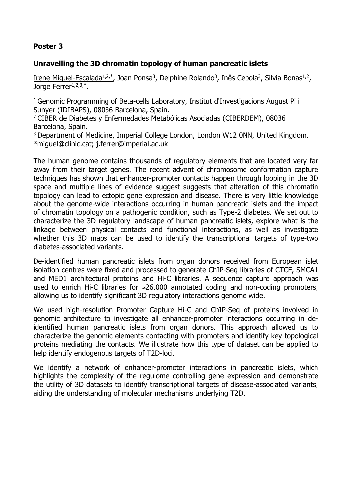## **Unravelling the 3D chromatin topology of human pancreatic islets**

Irene Miguel-Escalada<sup>1,2,\*</sup>, Joan Ponsa<sup>3</sup>, Delphine Rolando<sup>3</sup>, Inês Cebola<sup>3</sup>, Silvia Bonas<sup>1,2</sup>, Jorge Ferrer<sup>1,2,3,\*</sup>.

<sup>1</sup> Genomic Programming of Beta-cells Laboratory, Institut d'Investigacions August Pi i Sunyer (IDIBAPS), 08036 Barcelona, Spain.

<sup>2</sup>CIBER de Diabetes y Enfermedades Metabólicas Asociadas (CIBERDEM), 08036 Barcelona, Spain.

<sup>3</sup> Department of Medicine, Imperial College London, London W12 0NN, United Kingdom. \*miguel@clinic.cat; j.ferrer@imperial.ac.uk

The human genome contains thousands of regulatory elements that are located very far away from their target genes. The recent advent of chromosome conformation capture techniques has shown that enhancer-promoter contacts happen through looping in the 3D space and multiple lines of evidence suggest suggests that alteration of this chromatin topology can lead to ectopic gene expression and disease. There is very little knowledge about the genome-wide interactions occurring in human pancreatic islets and the impact of chromatin topology on a pathogenic condition, such as Type-2 diabetes. We set out to characterize the 3D regulatory landscape of human pancreatic islets, explore what is the linkage between physical contacts and functional interactions, as well as investigate whether this 3D maps can be used to identify the transcriptional targets of type-two diabetes-associated variants.

De-identified human pancreatic islets from organ donors received from European islet isolation centres were fixed and processed to generate ChIP-Seq libraries of CTCF, SMCA1 and MED1 architectural proteins and Hi-C libraries. A sequence capture approach was used to enrich Hi-C libraries for  $\approx 26,000$  annotated coding and non-coding promoters, allowing us to identify significant 3D regulatory interactions genome wide.

We used high-resolution Promoter Capture Hi-C and ChIP-Seq of proteins involved in genomic architecture to investigate all enhancer-promoter interactions occurring in deidentified human pancreatic islets from organ donors. This approach allowed us to characterize the genomic elements contacting with promoters and identify key topological proteins mediating the contacts. We illustrate how this type of dataset can be applied to help identify endogenous targets of T2D-loci.

We identify a network of enhancer-promoter interactions in pancreatic islets, which highlights the complexity of the regulome controlling gene expression and demonstrate the utility of 3D datasets to identify transcriptional targets of disease-associated variants, aiding the understanding of molecular mechanisms underlying T2D.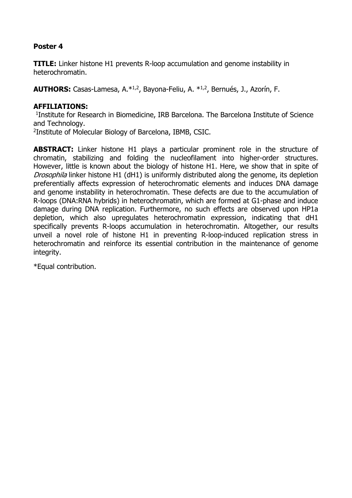**TITLE:** Linker histone H1 prevents R-loop accumulation and genome instability in heterochromatin.

**AUTHORS:** Casas-Lamesa, A.\*1,2, Bayona-Feliu, A. \*1,2, Bernués, J., Azorín, F.

#### **AFFILIATIONS:**

<sup>1</sup>Institute for Research in Biomedicine, IRB Barcelona. The Barcelona Institute of Science and Technology.

2 Institute of Molecular Biology of Barcelona, IBMB, CSIC.

**ABSTRACT:** Linker histone H1 plays a particular prominent role in the structure of chromatin, stabilizing and folding the nucleofilament into higher-order structures. However, little is known about the biology of histone H1. Here, we show that in spite of Drosophila linker histone H1 (dH1) is uniformly distributed along the genome, its depletion preferentially affects expression of heterochromatic elements and induces DNA damage and genome instability in heterochromatin. These defects are due to the accumulation of R-loops (DNA:RNA hybrids) in heterochromatin, which are formed at G1-phase and induce damage during DNA replication. Furthermore, no such effects are observed upon HP1a depletion, which also upregulates heterochromatin expression, indicating that dH1 specifically prevents R-loops accumulation in heterochromatin. Altogether, our results unveil a novel role of histone H1 in preventing R-loop-induced replication stress in heterochromatin and reinforce its essential contribution in the maintenance of genome integrity.

\*Equal contribution.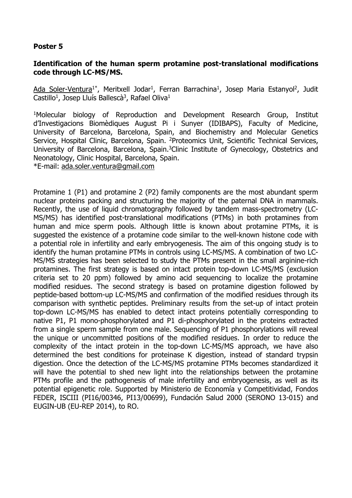#### **Identification of the human sperm protamine post-translational modifications code through LC-MS/MS.**

Ada Soler-Ventura<sup>1\*</sup>, Meritxell Jodar<sup>1</sup>, Ferran Barrachina<sup>1</sup>, Josep Maria Estanyol<sup>2</sup>, Judit Castillo<sup>1</sup>, Josep Lluís Ballescà<sup>3</sup>, Rafael Oliva<sup>1</sup>

<sup>1</sup>Molecular biology of Reproduction and Development Research Group, Institut d'Investigacions Biomèdiques August Pi i Sunyer (IDIBAPS), Faculty of Medicine, University of Barcelona, Barcelona, Spain, and Biochemistry and Molecular Genetics Service, Hospital Clinic, Barcelona, Spain. <sup>2</sup>Proteomics Unit, Scientific Technical Services, University of Barcelona, Barcelona, Spain.<sup>3</sup>Clinic Institute of Gynecology, Obstetrics and Neonatology, Clinic Hospital, Barcelona, Spain.

\*E-mail: ada.soler.ventura@gmail.com

Protamine 1 (P1) and protamine 2 (P2) family components are the most abundant sperm nuclear proteins packing and structuring the majority of the paternal DNA in mammals. Recently, the use of liquid chromatography followed by tandem mass-spectrometry (LC-MS/MS) has identified post-translational modifications (PTMs) in both protamines from human and mice sperm pools. Although little is known about protamine PTMs, it is suggested the existence of a protamine code similar to the well-known histone code with a potential role in infertility and early embryogenesis. The aim of this ongoing study is to identify the human protamine PTMs in controls using LC-MS/MS. A combination of two LC-MS/MS strategies has been selected to study the PTMs present in the small arginine-rich protamines. The first strategy is based on intact protein top-down LC-MS/MS (exclusion criteria set to 20 ppm) followed by amino acid sequencing to localize the protamine modified residues. The second strategy is based on protamine digestion followed by peptide-based bottom-up LC-MS/MS and confirmation of the modified residues through its comparison with synthetic peptides. Preliminary results from the set-up of intact protein top-down LC-MS/MS has enabled to detect intact proteins potentially corresponding to native P1, P1 mono-phosphorylated and P1 di-phosphorylated in the proteins extracted from a single sperm sample from one male. Sequencing of P1 phosphorylations will reveal the unique or uncommitted positions of the modified residues. In order to reduce the complexity of the intact protein in the top-down LC-MS/MS approach, we have also determined the best conditions for proteinase K digestion, instead of standard trypsin digestion. Once the detection of the LC-MS/MS protamine PTMs becomes standardized it will have the potential to shed new light into the relationships between the protamine PTMs profile and the pathogenesis of male infertility and embryogenesis, as well as its potential epigenetic role. Supported by Ministerio de Economía y Competitividad, Fondos FEDER, ISCIII (PI16/00346, PI13/00699), Fundación Salud 2000 (SERONO 13-015) and EUGIN-UB (EU-REP 2014), to RO.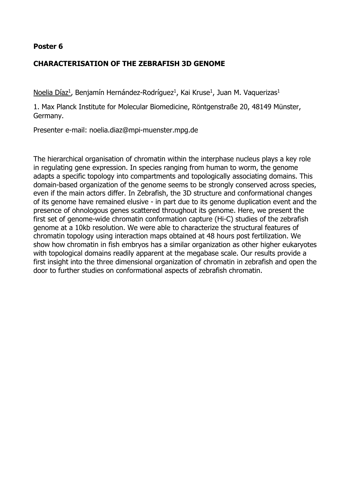# **CHARACTERISATION OF THE ZEBRAFISH 3D GENOME**

Noelia Díaz<sup>1</sup>, Benjamín Hernández-Rodríguez<sup>1</sup>, Kai Kruse<sup>1</sup>, Juan M. Vaquerizas<sup>1</sup>

1. Max Planck Institute for Molecular Biomedicine, Röntgenstraße 20, 48149 Münster, Germany.

Presenter e-mail: noelia.diaz@mpi-muenster.mpg.de

The hierarchical organisation of chromatin within the interphase nucleus plays a key role in regulating gene expression. In species ranging from human to worm, the genome adapts a specific topology into compartments and topologically associating domains. This domain-based organization of the genome seems to be strongly conserved across species, even if the main actors differ. In Zebrafish, the 3D structure and conformational changes of its genome have remained elusive - in part due to its genome duplication event and the presence of ohnologous genes scattered throughout its genome. Here, we present the first set of genome-wide chromatin conformation capture (Hi-C) studies of the zebrafish genome at a 10kb resolution. We were able to characterize the structural features of chromatin topology using interaction maps obtained at 48 hours post fertilization. We show how chromatin in fish embryos has a similar organization as other higher eukaryotes with topological domains readily apparent at the megabase scale. Our results provide a first insight into the three dimensional organization of chromatin in zebrafish and open the door to further studies on conformational aspects of zebrafish chromatin.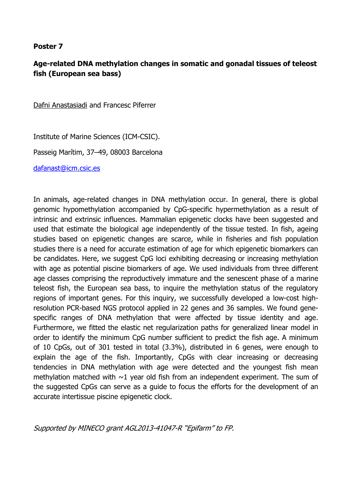# **Age-related DNA methylation changes in somatic and gonadal tissues of teleost fish (European sea bass)**

Dafni Anastasiadi and Francesc Piferrer

Institute of Marine Sciences (ICM-CSIC).

Passeig Marítim, 37–49, 08003 Barcelona

dafanast@icm.csic.es

In animals, age-related changes in DNA methylation occur. In general, there is global genomic hypomethylation accompanied by CpG-specific hypermethylation as a result of intrinsic and extrinsic influences. Mammalian epigenetic clocks have been suggested and used that estimate the biological age independently of the tissue tested. In fish, ageing studies based on epigenetic changes are scarce, while in fisheries and fish population studies there is a need for accurate estimation of age for which epigenetic biomarkers can be candidates. Here, we suggest CpG loci exhibiting decreasing or increasing methylation with age as potential piscine biomarkers of age. We used individuals from three different age classes comprising the reproductively immature and the senescent phase of a marine teleost fish, the European sea bass, to inquire the methylation status of the regulatory regions of important genes. For this inquiry, we successfully developed a low-cost highresolution PCR-based NGS protocol applied in 22 genes and 36 samples. We found genespecific ranges of DNA methylation that were affected by tissue identity and age. Furthermore, we fitted the elastic net regularization paths for generalized linear model in order to identify the minimum CpG number sufficient to predict the fish age. A minimum of 10 CpGs, out of 301 tested in total (3.3%), distributed in 6 genes, were enough to explain the age of the fish. Importantly, CpGs with clear increasing or decreasing tendencies in DNA methylation with age were detected and the youngest fish mean methylation matched with  $\sim$ 1 year old fish from an independent experiment. The sum of the suggested CpGs can serve as a guide to focus the efforts for the development of an accurate intertissue piscine epigenetic clock.

Supported by MINECO grant AGL2013-41047-R "Epifarm" to FP.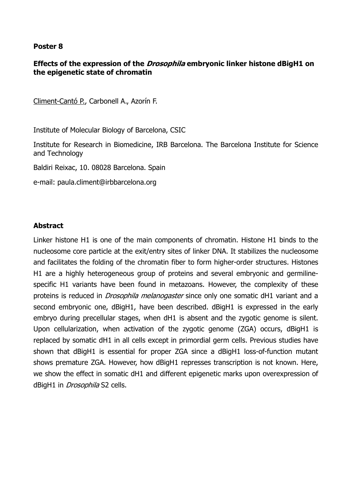### **Effects of the expression of the Drosophila embryonic linker histone dBigH1 on the epigenetic state of chromatin**

Climent-Cantó P., Carbonell A., Azorín F.

Institute of Molecular Biology of Barcelona, CSIC

Institute for Research in Biomedicine, IRB Barcelona. The Barcelona Institute for Science and Technology

Baldiri Reixac, 10. 08028 Barcelona. Spain

e-mail: paula.climent@irbbarcelona.org

#### **Abstract**

Linker histone H1 is one of the main components of chromatin. Histone H1 binds to the nucleosome core particle at the exit/entry sites of linker DNA. It stabilizes the nucleosome and facilitates the folding of the chromatin fiber to form higher-order structures. Histones H1 are a highly heterogeneous group of proteins and several embryonic and germilinespecific H1 variants have been found in metazoans. However, the complexity of these proteins is reduced in *Drosophila melanogaster* since only one somatic dH1 variant and a second embryonic one, dBigH1, have been described. dBigH1 is expressed in the early embryo during precellular stages, when dH1 is absent and the zygotic genome is silent. Upon cellularization, when activation of the zygotic genome (ZGA) occurs, dBigH1 is replaced by somatic dH1 in all cells except in primordial germ cells. Previous studies have shown that dBigH1 is essential for proper ZGA since a dBigH1 loss-of-function mutant shows premature ZGA. However, how dBigH1 represses transcription is not known. Here, we show the effect in somatic dH1 and different epigenetic marks upon overexpression of dBigH1 in *Drosophila* S2 cells.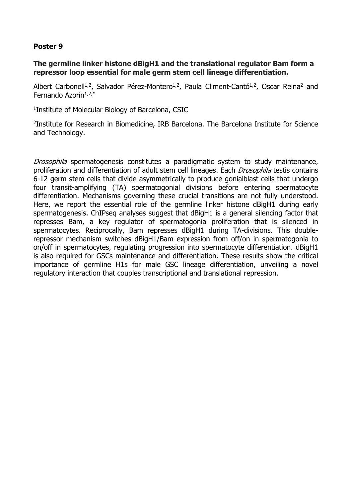#### **The germline linker histone dBigH1 and the translational regulator Bam form a repressor loop essential for male germ stem cell lineage differentiation.**

Albert Carbonell<sup>1,2</sup>, Salvador Pérez-Montero<sup>1,2</sup>, Paula Climent-Cantó<sup>1,2</sup>, Oscar Reina<sup>2</sup> and Fernando Azorín $1,2,*$ 

1 Institute of Molecular Biology of Barcelona, CSIC

2 Institute for Research in Biomedicine, IRB Barcelona. The Barcelona Institute for Science and Technology.

Drosophila spermatogenesis constitutes a paradigmatic system to study maintenance, proliferation and differentiation of adult stem cell lineages. Each *Drosophila* testis contains 6-12 germ stem cells that divide asymmetrically to produce gonialblast cells that undergo four transit-amplifying (TA) spermatogonial divisions before entering spermatocyte differentiation. Mechanisms governing these crucial transitions are not fully understood. Here, we report the essential role of the germline linker histone dBigH1 during early spermatogenesis. ChIPseg analyses suggest that dBigH1 is a general silencing factor that represses Bam, a key regulator of spermatogonia proliferation that is silenced in spermatocytes. Reciprocally, Bam represses dBigH1 during TA-divisions. This doublerepressor mechanism switches dBigH1/Bam expression from off/on in spermatogonia to on/off in spermatocytes, regulating progression into spermatocyte differentiation. dBigH1 is also required for GSCs maintenance and differentiation. These results show the critical importance of germline H1s for male GSC lineage differentiation, unveiling a novel regulatory interaction that couples transcriptional and translational repression.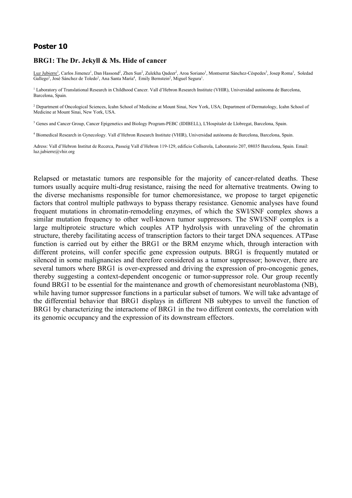#### **BRG1: The Dr. Jekyll & Ms. Hide of cancer**

Luz Jubierre<sup>1</sup>, Carlos Jimenez<sup>1</sup>, Dan Hassond<sup>2</sup>, Zhen Sun<sup>2</sup>, Zulekha Qadeer<sup>2</sup>, Aroa Soriano<sup>1</sup>, Montserrat Sánchez-Céspedes<sup>3</sup>, Josep Roma<sup>1</sup>, Soledad Gallego<sup>1</sup>, José Sánchez de Toledo<sup>1</sup>, Ana Santa María<sup>4</sup>, Emily Bernstein<sup>2</sup>, Miguel Segura<sup>1</sup>.

<sup>1</sup> Laboratory of Translational Research in Childhood Cancer. Vall d'Hebron Research Institute (VHIR), Universidad autónoma de Barcelona, Barcelona, Spain.

<sup>2</sup> Department of Oncological Sciences, Icahn School of Medicine at Mount Sinai, New York, USA; Department of Dermatology, Icahn School of Medicine at Mount Sinai, New York, USA.

<sup>3</sup> Genes and Cancer Group, Cancer Epigenetics and Biology Program-PEBC (IDIBELL), L'Hospitalet de Llobregat, Barcelona, Spain.

4 Biomedical Research in Gynecology. Vall d'Hebron Research Institute (VHIR), Universidad autónoma de Barcelona, Barcelona, Spain.

Adress: Vall d'Hebron Institut de Recerca, Passeig Vall d'Hebron 119-129, edificio Collserola, Laboratorio 207, 08035 Barcelona, Spain. Email: luz.jubierre@vhir.org

Relapsed or metastatic tumors are responsible for the majority of cancer-related deaths. These tumors usually acquire multi-drug resistance, raising the need for alternative treatments. Owing to the diverse mechanisms responsible for tumor chemoresistance, we propose to target epigenetic factors that control multiple pathways to bypass therapy resistance. Genomic analyses have found frequent mutations in chromatin-remodeling enzymes, of which the SWI/SNF complex shows a similar mutation frequency to other well-known tumor suppressors. The SWI/SNF complex is a large multiproteic structure which couples ATP hydrolysis with unraveling of the chromatin structure, thereby facilitating access of transcription factors to their target DNA sequences. ATPase function is carried out by either the BRG1 or the BRM enzyme which, through interaction with different proteins, will confer specific gene expression outputs. BRG1 is frequently mutated or silenced in some malignancies and therefore considered as a tumor suppressor; however, there are several tumors where BRG1 is over-expressed and driving the expression of pro-oncogenic genes, thereby suggesting a context-dependent oncogenic or tumor-suppressor role. Our group recently found BRG1 to be essential for the maintenance and growth of chemoresistant neuroblastoma (NB), while having tumor suppressor functions in a particular subset of tumors. We will take advantage of the differential behavior that BRG1 displays in different NB subtypes to unveil the function of BRG1 by characterizing the interactome of BRG1 in the two different contexts, the correlation with its genomic occupancy and the expression of its downstream effectors.